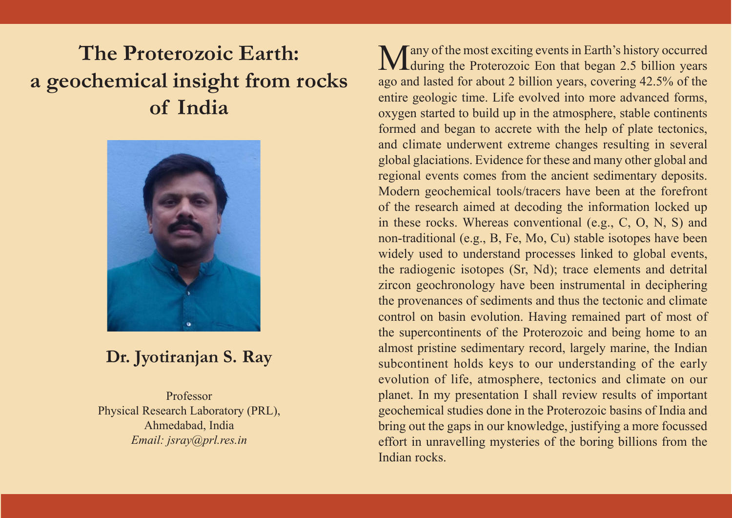# **The Proterozoic Earth: a geochemical insight from rocks of India**



### **Dr. Jyotiranjan S. Ray**

Professor Physical Research Laboratory (PRL), Ahmedabad, India *Email: jsray@prl.res.in*

Many of the most exciting events in Earth's history occurred **IV L**during the Proterozoic Eon that began 2.5 billion years ago and lasted for about 2 billion years, covering 42.5% of the entire geologic time. Life evolved into more advanced forms, oxygen started to build up in the atmosphere, stable continents formed and began to accrete with the help of plate tectonics, and climate underwent extreme changes resulting in several global glaciations. Evidence for these and many other global and regional events comes from the ancient sedimentary deposits. Modern geochemical tools/tracers have been at the forefront of the research aimed at decoding the information locked up in these rocks. Whereas conventional (e.g., C, O, N, S) and non-traditional (e.g., B, Fe, Mo, Cu) stable isotopes have been widely used to understand processes linked to global events, the radiogenic isotopes (Sr, Nd); trace elements and detrital zircon geochronology have been instrumental in deciphering the provenances of sediments and thus the tectonic and climate control on basin evolution. Having remained part of most of the supercontinents of the Proterozoic and being home to an almost pristine sedimentary record, largely marine, the Indian subcontinent holds keys to our understanding of the early evolution of life, atmosphere, tectonics and climate on our planet. In my presentation I shall review results of important geochemical studies done in the Proterozoic basins of India and bring out the gaps in our knowledge, justifying a more focussed effort in unravelling mysteries of the boring billions from the Indian rocks.